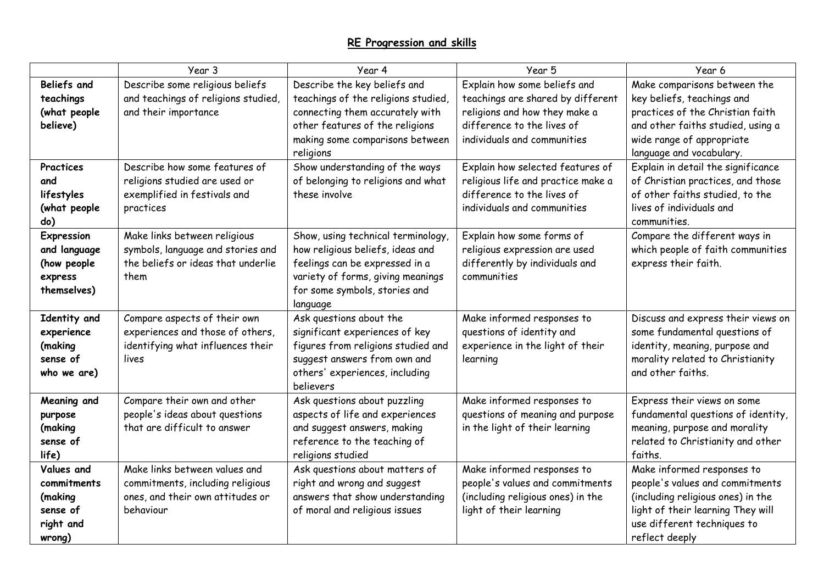|                                                                         | Year 3                                                                                                             | Year 4                                                                                                                                                                                     | Year 5                                                                                                                                                          | Year 6                                                                                                                                                                                       |
|-------------------------------------------------------------------------|--------------------------------------------------------------------------------------------------------------------|--------------------------------------------------------------------------------------------------------------------------------------------------------------------------------------------|-----------------------------------------------------------------------------------------------------------------------------------------------------------------|----------------------------------------------------------------------------------------------------------------------------------------------------------------------------------------------|
| <b>Beliefs and</b><br>teachings<br>(what people<br>believe)             | Describe some religious beliefs<br>and teachings of religions studied,<br>and their importance                     | Describe the key beliefs and<br>teachings of the religions studied,<br>connecting them accurately with<br>other features of the religions<br>making some comparisons between<br>religions  | Explain how some beliefs and<br>teachings are shared by different<br>religions and how they make a<br>difference to the lives of<br>individuals and communities | Make comparisons between the<br>key beliefs, teachings and<br>practices of the Christian faith<br>and other faiths studied, using a<br>wide range of appropriate<br>language and vocabulary. |
| Practices<br>and<br>lifestyles<br>(what people<br>do)                   | Describe how some features of<br>religions studied are used or<br>exemplified in festivals and<br>practices        | Show understanding of the ways<br>of belonging to religions and what<br>these involve                                                                                                      | Explain how selected features of<br>religious life and practice make a<br>difference to the lives of<br>individuals and communities                             | Explain in detail the significance<br>of Christian practices, and those<br>of other faiths studied, to the<br>lives of individuals and<br>communities.                                       |
| Expression<br>and language<br>(how people<br>express<br>themselves)     | Make links between religious<br>symbols, language and stories and<br>the beliefs or ideas that underlie<br>them    | Show, using technical terminology,<br>how religious beliefs, ideas and<br>feelings can be expressed in a<br>variety of forms, giving meanings<br>for some symbols, stories and<br>language | Explain how some forms of<br>religious expression are used<br>differently by individuals and<br>communities                                                     | Compare the different ways in<br>which people of faith communities<br>express their faith.                                                                                                   |
| Identity and<br>experience<br>(making<br>sense of<br>who we are)        | Compare aspects of their own<br>experiences and those of others,<br>identifying what influences their<br>lives     | Ask questions about the<br>significant experiences of key<br>figures from religions studied and<br>suggest answers from own and<br>others' experiences, including<br>believers             | Make informed responses to<br>questions of identity and<br>experience in the light of their<br>learning                                                         | Discuss and express their views on<br>some fundamental questions of<br>identity, meaning, purpose and<br>morality related to Christianity<br>and other faiths.                               |
| Meaning and<br>purpose<br>(making<br>sense of<br>life)                  | Compare their own and other<br>people's ideas about questions<br>that are difficult to answer                      | Ask questions about puzzling<br>aspects of life and experiences<br>and suggest answers, making<br>reference to the teaching of<br>religions studied                                        | Make informed responses to<br>questions of meaning and purpose<br>in the light of their learning                                                                | Express their views on some<br>fundamental questions of identity,<br>meaning, purpose and morality<br>related to Christianity and other<br>faiths.                                           |
| Values and<br>commitments<br>(making<br>sense of<br>right and<br>wrong) | Make links between values and<br>commitments, including religious<br>ones, and their own attitudes or<br>behaviour | Ask questions about matters of<br>right and wrong and suggest<br>answers that show understanding<br>of moral and religious issues                                                          | Make informed responses to<br>people's values and commitments<br>(including religious ones) in the<br>light of their learning                                   | Make informed responses to<br>people's values and commitments<br>(including religious ones) in the<br>light of their learning They will<br>use different techniques to<br>reflect deeply     |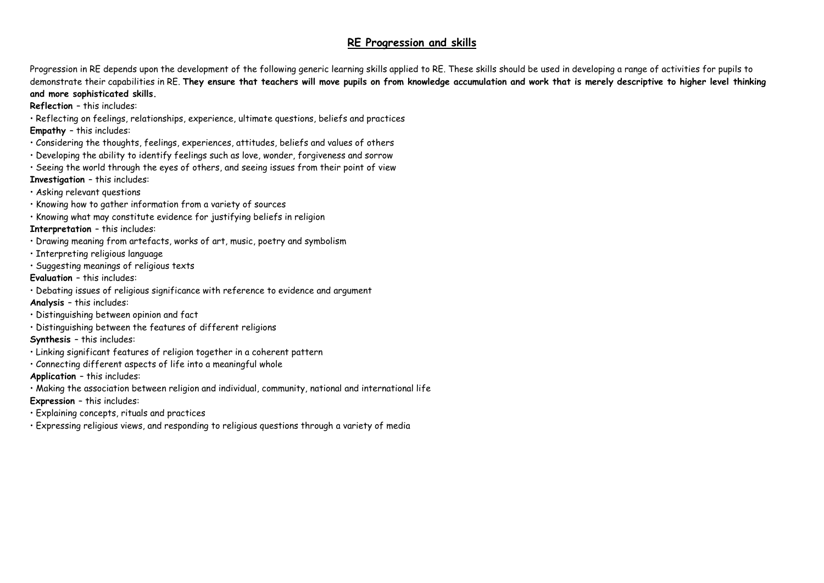Progression in RE depends upon the development of the following generic learning skills applied to RE. These skills should be used in developing a range of activities for pupils to demonstrate their capabilities in RE. **They ensure that teachers will move pupils on from knowledge accumulation and work that is merely descriptive to higher level thinking and more sophisticated skills.** 

**Reflection** – this includes:

• Reflecting on feelings, relationships, experience, ultimate questions, beliefs and practices **Empathy** – this includes:

- Considering the thoughts, feelings, experiences, attitudes, beliefs and values of others
- Developing the ability to identify feelings such as love, wonder, forgiveness and sorrow
- Seeing the world through the eyes of others, and seeing issues from their point of view **Investigation** – this includes:
- Asking relevant questions
- Knowing how to gather information from a variety of sources
- Knowing what may constitute evidence for justifying beliefs in religion
- **Interpretation**  this includes:
- Drawing meaning from artefacts, works of art, music, poetry and symbolism
- Interpreting religious language
- Suggesting meanings of religious texts
- **Evaluation**  this includes:
- Debating issues of religious significance with reference to evidence and argument
- **Analysis**  this includes:
- Distinguishing between opinion and fact
- Distinguishing between the features of different religions
- **Synthesis**  this includes:
- Linking significant features of religion together in a coherent pattern
- Connecting different aspects of life into a meaningful whole
- **Application**  this includes:
- Making the association between religion and individual, community, national and international life
- **Expression**  this includes:
- Explaining concepts, rituals and practices
- Expressing religious views, and responding to religious questions through a variety of media